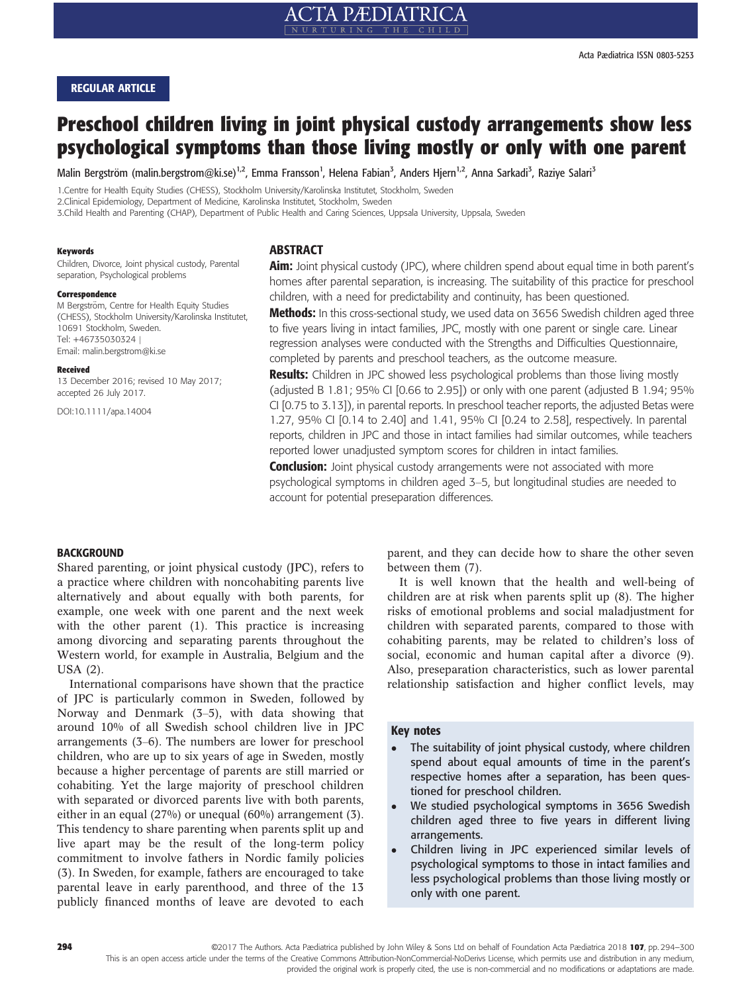# REGULAR ARTICLE

# Preschool children living in joint physical custody arrangements show less psychological symptoms than those living mostly or only with one parent

Malin Bergström (malin.bergstrom@ki.se)<sup>1,2</sup>, Emma Fransson<sup>1</sup>, Helena Fabian<sup>3</sup>, Anders Hjern<sup>1,2</sup>, Anna Sarkadi<sup>3</sup>, Raziye Salari<sup>3</sup>

1.Centre for Health Equity Studies (CHESS), Stockholm University/Karolinska Institutet, Stockholm, Sweden

2.Clinical Epidemiology, Department of Medicine, Karolinska Institutet, Stockholm, Sweden

3.Child Health and Parenting (CHAP), Department of Public Health and Caring Sciences, Uppsala University, Uppsala, Sweden

#### Keywords

Children, Divorce, Joint physical custody, Parental separation, Psychological problems

#### Correspondence

M Bergström, Centre for Health Equity Studies (CHESS), Stockholm University/Karolinska Institutet, 10691 Stockholm, Sweden. Tel: +46735030324 | Email: malin.bergstrom@ki.se

#### Received

13 December 2016; revised 10 May 2017; accepted 26 July 2017.

DOI:10.1111/apa.14004

# **ABSTRACT**

Aim: Joint physical custody (JPC), where children spend about equal time in both parent's homes after parental separation, is increasing. The suitability of this practice for preschool children, with a need for predictability and continuity, has been questioned. **Methods:** In this cross-sectional study, we used data on 3656 Swedish children aged three to five years living in intact families, JPC, mostly with one parent or single care. Linear regression analyses were conducted with the Strengths and Difficulties Questionnaire,

completed by parents and preschool teachers, as the outcome measure.

**Results:** Children in JPC showed less psychological problems than those living mostly (adjusted B 1.81; 95% CI [0.66 to 2.95]) or only with one parent (adjusted B 1.94; 95% CI [0.75 to 3.13]), in parental reports. In preschool teacher reports, the adjusted Betas were 1.27, 95% CI [0.14 to 2.40] and 1.41, 95% CI [0.24 to 2.58], respectively. In parental reports, children in JPC and those in intact families had similar outcomes, while teachers reported lower unadjusted symptom scores for children in intact families.

**Conclusion:** Joint physical custody arrangements were not associated with more psychological symptoms in children aged 3–5, but longitudinal studies are needed to account for potential preseparation differences.

#### **BACKGROUND**

Shared parenting, or joint physical custody (JPC), refers to a practice where children with noncohabiting parents live alternatively and about equally with both parents, for example, one week with one parent and the next week with the other parent (1). This practice is increasing among divorcing and separating parents throughout the Western world, for example in Australia, Belgium and the USA (2).

International comparisons have shown that the practice of JPC is particularly common in Sweden, followed by Norway and Denmark (3–5), with data showing that around 10% of all Swedish school children live in JPC arrangements (3–6). The numbers are lower for preschool children, who are up to six years of age in Sweden, mostly because a higher percentage of parents are still married or cohabiting. Yet the large majority of preschool children with separated or divorced parents live with both parents, either in an equal (27%) or unequal (60%) arrangement (3). This tendency to share parenting when parents split up and live apart may be the result of the long-term policy commitment to involve fathers in Nordic family policies (3). In Sweden, for example, fathers are encouraged to take parental leave in early parenthood, and three of the 13 publicly financed months of leave are devoted to each parent, and they can decide how to share the other seven between them (7).

It is well known that the health and well-being of children are at risk when parents split up (8). The higher risks of emotional problems and social maladjustment for children with separated parents, compared to those with cohabiting parents, may be related to children's loss of social, economic and human capital after a divorce (9). Also, preseparation characteristics, such as lower parental relationship satisfaction and higher conflict levels, may

# Key notes

- The suitability of joint physical custody, where children spend about equal amounts of time in the parent's respective homes after a separation, has been questioned for preschool children.
- We studied psychological symptoms in 3656 Swedish children aged three to five years in different living arrangements.
- Children living in JPC experienced similar levels of psychological symptoms to those in intact families and less psychological problems than those living mostly or only with one parent.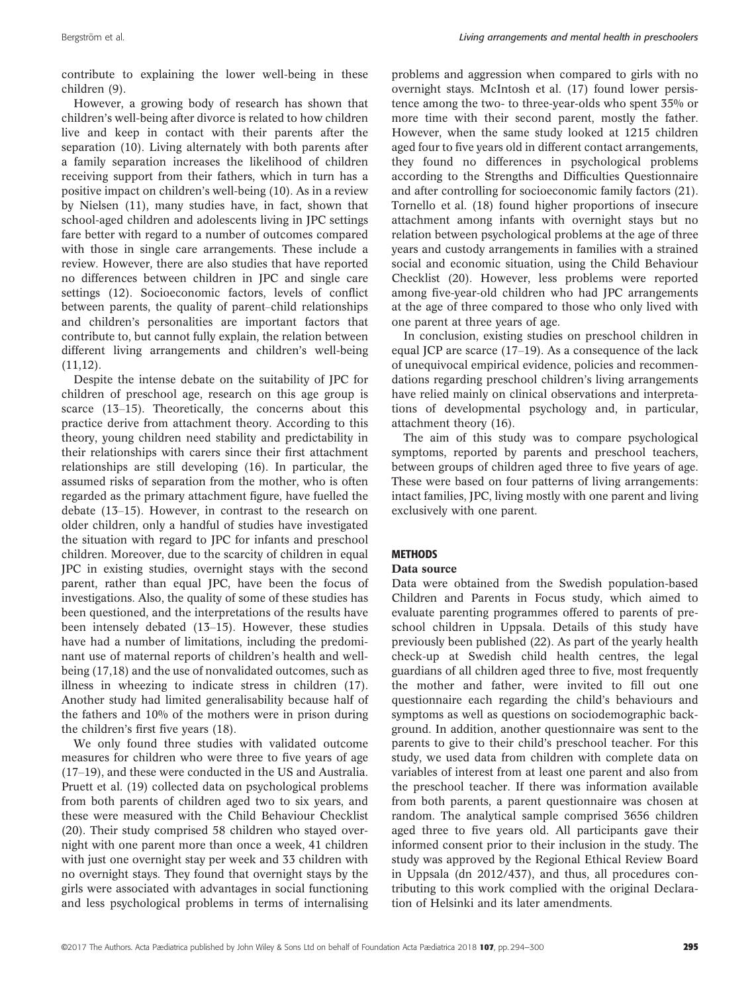contribute to explaining the lower well-being in these children (9).

However, a growing body of research has shown that children's well-being after divorce is related to how children live and keep in contact with their parents after the separation (10). Living alternately with both parents after a family separation increases the likelihood of children receiving support from their fathers, which in turn has a positive impact on children's well-being (10). As in a review by Nielsen (11), many studies have, in fact, shown that school-aged children and adolescents living in JPC settings fare better with regard to a number of outcomes compared with those in single care arrangements. These include a review. However, there are also studies that have reported no differences between children in JPC and single care settings (12). Socioeconomic factors, levels of conflict between parents, the quality of parent–child relationships and children's personalities are important factors that contribute to, but cannot fully explain, the relation between different living arrangements and children's well-being  $(11,12)$ .

Despite the intense debate on the suitability of JPC for children of preschool age, research on this age group is scarce (13–15). Theoretically, the concerns about this practice derive from attachment theory. According to this theory, young children need stability and predictability in their relationships with carers since their first attachment relationships are still developing (16). In particular, the assumed risks of separation from the mother, who is often regarded as the primary attachment figure, have fuelled the debate (13–15). However, in contrast to the research on older children, only a handful of studies have investigated the situation with regard to JPC for infants and preschool children. Moreover, due to the scarcity of children in equal JPC in existing studies, overnight stays with the second parent, rather than equal JPC, have been the focus of investigations. Also, the quality of some of these studies has been questioned, and the interpretations of the results have been intensely debated (13–15). However, these studies have had a number of limitations, including the predominant use of maternal reports of children's health and wellbeing (17,18) and the use of nonvalidated outcomes, such as illness in wheezing to indicate stress in children (17). Another study had limited generalisability because half of the fathers and 10% of the mothers were in prison during the children's first five years (18).

We only found three studies with validated outcome measures for children who were three to five years of age (17–19), and these were conducted in the US and Australia. Pruett et al. (19) collected data on psychological problems from both parents of children aged two to six years, and these were measured with the Child Behaviour Checklist (20). Their study comprised 58 children who stayed overnight with one parent more than once a week, 41 children with just one overnight stay per week and 33 children with no overnight stays. They found that overnight stays by the girls were associated with advantages in social functioning and less psychological problems in terms of internalising problems and aggression when compared to girls with no overnight stays. McIntosh et al. (17) found lower persistence among the two- to three-year-olds who spent 35% or more time with their second parent, mostly the father. However, when the same study looked at 1215 children aged four to five years old in different contact arrangements, they found no differences in psychological problems according to the Strengths and Difficulties Questionnaire and after controlling for socioeconomic family factors (21). Tornello et al. (18) found higher proportions of insecure attachment among infants with overnight stays but no relation between psychological problems at the age of three years and custody arrangements in families with a strained social and economic situation, using the Child Behaviour Checklist (20). However, less problems were reported among five-year-old children who had JPC arrangements at the age of three compared to those who only lived with one parent at three years of age.

In conclusion, existing studies on preschool children in equal JCP are scarce (17–19). As a consequence of the lack of unequivocal empirical evidence, policies and recommendations regarding preschool children's living arrangements have relied mainly on clinical observations and interpretations of developmental psychology and, in particular, attachment theory (16).

The aim of this study was to compare psychological symptoms, reported by parents and preschool teachers, between groups of children aged three to five years of age. These were based on four patterns of living arrangements: intact families, JPC, living mostly with one parent and living exclusively with one parent.

# **METHODS**

#### Data source

Data were obtained from the Swedish population-based Children and Parents in Focus study, which aimed to evaluate parenting programmes offered to parents of preschool children in Uppsala. Details of this study have previously been published (22). As part of the yearly health check-up at Swedish child health centres, the legal guardians of all children aged three to five, most frequently the mother and father, were invited to fill out one questionnaire each regarding the child's behaviours and symptoms as well as questions on sociodemographic background. In addition, another questionnaire was sent to the parents to give to their child's preschool teacher. For this study, we used data from children with complete data on variables of interest from at least one parent and also from the preschool teacher. If there was information available from both parents, a parent questionnaire was chosen at random. The analytical sample comprised 3656 children aged three to five years old. All participants gave their informed consent prior to their inclusion in the study. The study was approved by the Regional Ethical Review Board in Uppsala (dn 2012/437), and thus, all procedures contributing to this work complied with the original Declaration of Helsinki and its later amendments.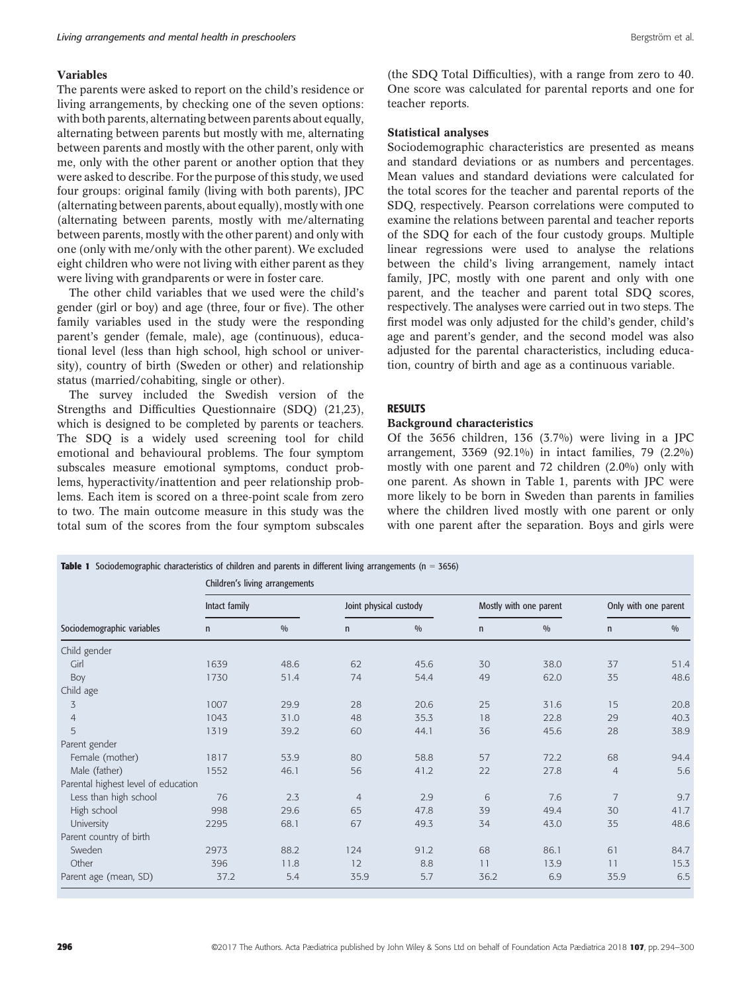# Variables

The parents were asked to report on the child's residence or living arrangements, by checking one of the seven options: with both parents, alternating between parents about equally, alternating between parents but mostly with me, alternating between parents and mostly with the other parent, only with me, only with the other parent or another option that they were asked to describe. For the purpose of this study, we used four groups: original family (living with both parents), JPC (alternating between parents, about equally), mostly with one (alternating between parents, mostly with me/alternating between parents, mostly with the other parent) and only with one (only with me/only with the other parent). We excluded eight children who were not living with either parent as they were living with grandparents or were in foster care.

The other child variables that we used were the child's gender (girl or boy) and age (three, four or five). The other family variables used in the study were the responding parent's gender (female, male), age (continuous), educational level (less than high school, high school or university), country of birth (Sweden or other) and relationship status (married/cohabiting, single or other).

The survey included the Swedish version of the Strengths and Difficulties Questionnaire (SDQ) (21,23), which is designed to be completed by parents or teachers. The SDQ is a widely used screening tool for child emotional and behavioural problems. The four symptom subscales measure emotional symptoms, conduct problems, hyperactivity/inattention and peer relationship problems. Each item is scored on a three-point scale from zero to two. The main outcome measure in this study was the total sum of the scores from the four symptom subscales

(the SDQ Total Difficulties), with a range from zero to 40. One score was calculated for parental reports and one for teacher reports.

# Statistical analyses

Sociodemographic characteristics are presented as means and standard deviations or as numbers and percentages. Mean values and standard deviations were calculated for the total scores for the teacher and parental reports of the SDQ, respectively. Pearson correlations were computed to examine the relations between parental and teacher reports of the SDQ for each of the four custody groups. Multiple linear regressions were used to analyse the relations between the child's living arrangement, namely intact family, JPC, mostly with one parent and only with one parent, and the teacher and parent total SDQ scores, respectively. The analyses were carried out in two steps. The first model was only adjusted for the child's gender, child's age and parent's gender, and the second model was also adjusted for the parental characteristics, including education, country of birth and age as a continuous variable.

# **RESULTS**

#### Background characteristics

Of the 3656 children, 136 (3.7%) were living in a JPC arrangement, 3369 (92.1%) in intact families, 79 (2.2%) mostly with one parent and 72 children (2.0%) only with one parent. As shown in Table 1, parents with JPC were more likely to be born in Sweden than parents in families where the children lived mostly with one parent or only with one parent after the separation. Boys and girls were

| Sociodemographic variables          | <b>Table 1</b> Sociodemographic characteristics of children and parents in different living arrangements ( $n = 3656$ )<br>Children's living arrangements |      |                        |      |                        |      |                      |      |  |
|-------------------------------------|-----------------------------------------------------------------------------------------------------------------------------------------------------------|------|------------------------|------|------------------------|------|----------------------|------|--|
|                                     | Intact family                                                                                                                                             |      | Joint physical custody |      | Mostly with one parent |      | Only with one parent |      |  |
|                                     | $\mathsf{n}$                                                                                                                                              | 0/0  | $\mathsf{n}$           | 0/0  | $\mathsf{n}$           | 0/0  | $\mathsf{n}$         | 0/0  |  |
| Child gender                        |                                                                                                                                                           |      |                        |      |                        |      |                      |      |  |
| Girl                                | 1639                                                                                                                                                      | 48.6 | 62                     | 45.6 | 30                     | 38.0 | 37                   | 51.4 |  |
| Boy                                 | 1730                                                                                                                                                      | 51.4 | 74                     | 54.4 | 49                     | 62.0 | 35                   | 48.6 |  |
| Child age                           |                                                                                                                                                           |      |                        |      |                        |      |                      |      |  |
| 3                                   | 1007                                                                                                                                                      | 29.9 | 28                     | 20.6 | 25                     | 31.6 | 15                   | 20.8 |  |
| $\overline{4}$                      | 1043                                                                                                                                                      | 31.0 | 48                     | 35.3 | 18                     | 22.8 | 29                   | 40.3 |  |
| 5                                   | 1319                                                                                                                                                      | 39.2 | 60                     | 44.1 | 36                     | 45.6 | 28                   | 38.9 |  |
| Parent gender                       |                                                                                                                                                           |      |                        |      |                        |      |                      |      |  |
| Female (mother)                     | 1817                                                                                                                                                      | 53.9 | 80                     | 58.8 | 57                     | 72.2 | 68                   | 94.4 |  |
| Male (father)                       | 1552                                                                                                                                                      | 46.1 | 56                     | 41.2 | 22                     | 27.8 | $\overline{4}$       | 5.6  |  |
| Parental highest level of education |                                                                                                                                                           |      |                        |      |                        |      |                      |      |  |
| Less than high school               | 76                                                                                                                                                        | 2.3  | $\overline{4}$         | 2.9  | 6                      | 7.6  | $\overline{7}$       | 9.7  |  |
| High school                         | 998                                                                                                                                                       | 29.6 | 65                     | 47.8 | 39                     | 49.4 | 30                   | 41.7 |  |
| University                          | 2295                                                                                                                                                      | 68.1 | 67                     | 49.3 | 34                     | 43.0 | 35                   | 48.6 |  |
| Parent country of birth             |                                                                                                                                                           |      |                        |      |                        |      |                      |      |  |
| Sweden                              | 2973                                                                                                                                                      | 88.2 | 124                    | 91.2 | 68                     | 86.1 | 61                   | 84.7 |  |
| Other                               | 396                                                                                                                                                       | 11.8 | 12                     | 8.8  | 11                     | 13.9 | 11                   | 15.3 |  |
| Parent age (mean, SD)               | 37.2                                                                                                                                                      | 5.4  | 35.9                   | 5.7  | 36.2                   | 6.9  | 35.9                 | 6.5  |  |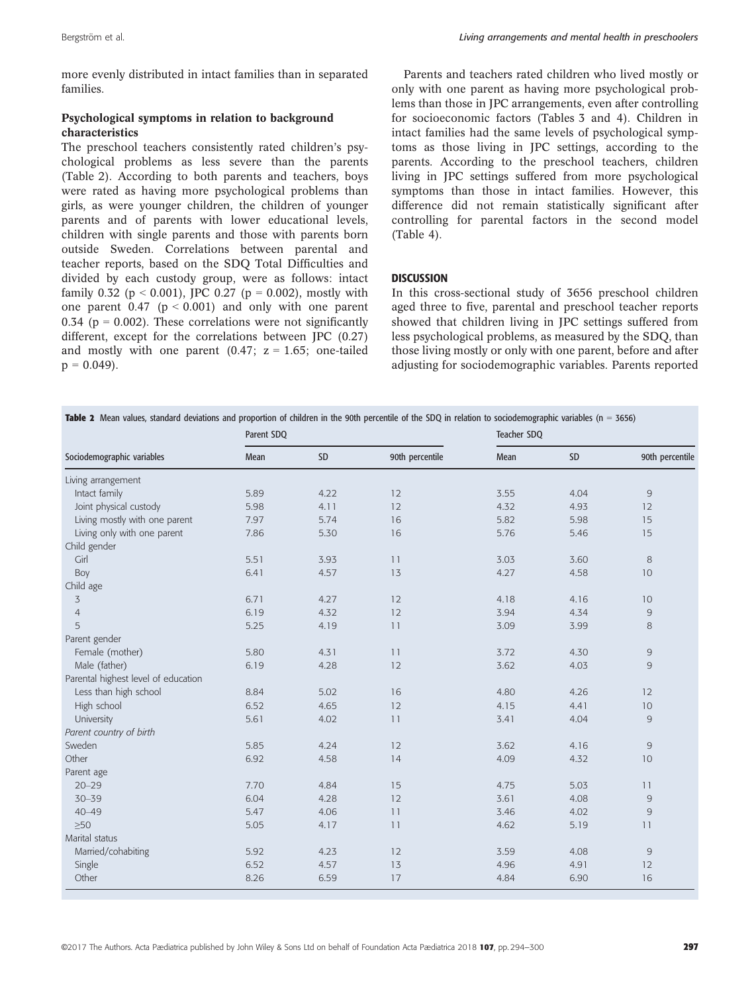more evenly distributed in intact families than in separated families.

# Psychological symptoms in relation to background characteristics

The preschool teachers consistently rated children's psychological problems as less severe than the parents (Table 2). According to both parents and teachers, boys were rated as having more psychological problems than girls, as were younger children, the children of younger parents and of parents with lower educational levels, children with single parents and those with parents born outside Sweden. Correlations between parental and teacher reports, based on the SDQ Total Difficulties and divided by each custody group, were as follows: intact family 0.32 ( $p < 0.001$ ), JPC 0.27 ( $p = 0.002$ ), mostly with one parent  $0.47$  ( $p < 0.001$ ) and only with one parent 0.34 ( $p = 0.002$ ). These correlations were not significantly different, except for the correlations between JPC (0.27) and mostly with one parent  $(0.47; z = 1.65;$  one-tailed  $p = 0.049$ .

Parents and teachers rated children who lived mostly or only with one parent as having more psychological problems than those in JPC arrangements, even after controlling for socioeconomic factors (Tables 3 and 4). Children in intact families had the same levels of psychological symptoms as those living in JPC settings, according to the parents. According to the preschool teachers, children living in JPC settings suffered from more psychological symptoms than those in intact families. However, this difference did not remain statistically significant after controlling for parental factors in the second model (Table 4).

# **DISCUSSION**

In this cross-sectional study of 3656 preschool children aged three to five, parental and preschool teacher reports showed that children living in JPC settings suffered from less psychological problems, as measured by the SDQ, than those living mostly or only with one parent, before and after adjusting for sociodemographic variables. Parents reported

|                                     | Parent SDQ |      |                 | Table 2 Mean values, standard deviations and proportion of children in the 90th percentile of the SDQ in relation to sociodemographic variables (n = 3656)<br>Teacher SDQ |      |                 |
|-------------------------------------|------------|------|-----------------|---------------------------------------------------------------------------------------------------------------------------------------------------------------------------|------|-----------------|
| Sociodemographic variables          | Mean       | SD   | 90th percentile | Mean                                                                                                                                                                      | SD   | 90th percentile |
| Living arrangement                  |            |      |                 |                                                                                                                                                                           |      |                 |
| Intact family                       | 5.89       | 4.22 | 12              | 3.55                                                                                                                                                                      | 4.04 | 9               |
| Joint physical custody              | 5.98       | 4.11 | 12              | 4.32                                                                                                                                                                      | 4.93 | 12              |
| Living mostly with one parent       | 7.97       | 5.74 | 16              | 5.82                                                                                                                                                                      | 5.98 | 15              |
| Living only with one parent         | 7.86       | 5.30 | 16              | 5.76                                                                                                                                                                      | 5.46 | 15              |
| Child gender                        |            |      |                 |                                                                                                                                                                           |      |                 |
| Girl                                | 5.51       | 3.93 | 11              | 3.03                                                                                                                                                                      | 3.60 | 8               |
| Boy                                 | 6.41       | 4.57 | 13              | 4.27                                                                                                                                                                      | 4.58 | 10              |
| Child age                           |            |      |                 |                                                                                                                                                                           |      |                 |
| 3                                   | 6.71       | 4.27 | 12              | 4.18                                                                                                                                                                      | 4.16 | 10              |
| $\overline{4}$                      | 6.19       | 4.32 | 12              | 3.94                                                                                                                                                                      | 4.34 | $\mathsf 9$     |
| 5                                   | 5.25       | 4.19 | 11              | 3.09                                                                                                                                                                      | 3.99 | 8               |
| Parent gender                       |            |      |                 |                                                                                                                                                                           |      |                 |
| Female (mother)                     | 5.80       | 4.31 | 11              | 3.72                                                                                                                                                                      | 4.30 | $\overline{9}$  |
| Male (father)                       | 6.19       | 4.28 | 12              | 3.62                                                                                                                                                                      | 4.03 | $\overline{9}$  |
| Parental highest level of education |            |      |                 |                                                                                                                                                                           |      |                 |
| Less than high school               | 8.84       | 5.02 | 16              | 4.80                                                                                                                                                                      | 4.26 | 12              |
| High school                         | 6.52       | 4.65 | 12              | 4.15                                                                                                                                                                      | 4.41 | 10 <sup>°</sup> |
| University                          | 5.61       | 4.02 | 11              | 3.41                                                                                                                                                                      | 4.04 | 9               |
| Parent country of birth             |            |      |                 |                                                                                                                                                                           |      |                 |
| Sweden                              | 5.85       | 4.24 | 12              | 3.62                                                                                                                                                                      | 4.16 | 9               |
| Other                               | 6.92       | 4.58 | 14              | 4.09                                                                                                                                                                      | 4.32 | 10              |
| Parent age                          |            |      |                 |                                                                                                                                                                           |      |                 |
| $20 - 29$                           | 7.70       | 4.84 | 15              | 4.75                                                                                                                                                                      | 5.03 | 11              |
| $30 - 39$                           | 6.04       | 4.28 | 12              | 3.61                                                                                                                                                                      | 4.08 | $\overline{9}$  |
| $40 - 49$                           | 5.47       | 4.06 | 11              | 3.46                                                                                                                                                                      | 4.02 | $\overline{9}$  |
| $\geq 50$                           | 5.05       | 4.17 | 11              | 4.62                                                                                                                                                                      | 5.19 | 11              |
| Marital status                      |            |      |                 |                                                                                                                                                                           |      |                 |
| Married/cohabiting                  | 5.92       | 4.23 | 12              | 3.59                                                                                                                                                                      | 4.08 | 9               |
| Single                              | 6.52       | 4.57 | 13              | 4.96                                                                                                                                                                      | 4.91 | 12              |
| Other                               | 8.26       | 6.59 | 17              | 4.84                                                                                                                                                                      | 6.90 | 16              |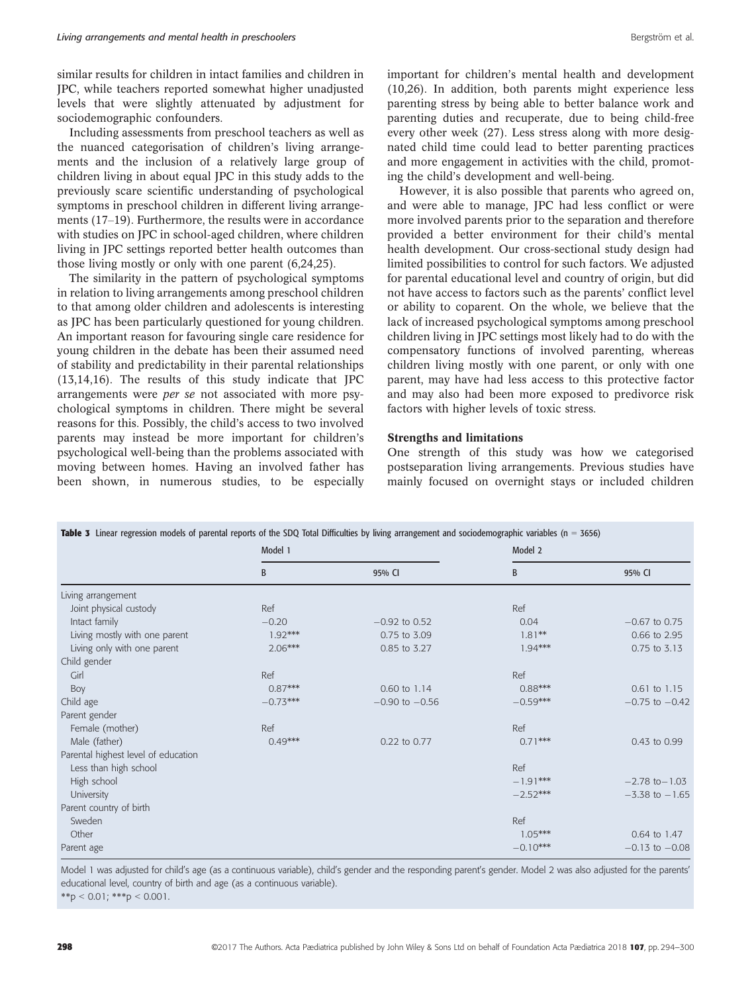similar results for children in intact families and children in JPC, while teachers reported somewhat higher unadjusted levels that were slightly attenuated by adjustment for sociodemographic confounders.

Including assessments from preschool teachers as well as the nuanced categorisation of children's living arrangements and the inclusion of a relatively large group of children living in about equal JPC in this study adds to the previously scare scientific understanding of psychological symptoms in preschool children in different living arrangements (17–19). Furthermore, the results were in accordance with studies on JPC in school-aged children, where children living in JPC settings reported better health outcomes than those living mostly or only with one parent (6,24,25).

The similarity in the pattern of psychological symptoms in relation to living arrangements among preschool children to that among older children and adolescents is interesting as JPC has been particularly questioned for young children. An important reason for favouring single care residence for young children in the debate has been their assumed need of stability and predictability in their parental relationships (13,14,16). The results of this study indicate that JPC arrangements were per se not associated with more psychological symptoms in children. There might be several reasons for this. Possibly, the child's access to two involved parents may instead be more important for children's psychological well-being than the problems associated with moving between homes. Having an involved father has been shown, in numerous studies, to be especially important for children's mental health and development (10,26). In addition, both parents might experience less parenting stress by being able to better balance work and parenting duties and recuperate, due to being child-free every other week (27). Less stress along with more designated child time could lead to better parenting practices and more engagement in activities with the child, promoting the child's development and well-being.

However, it is also possible that parents who agreed on, and were able to manage, JPC had less conflict or were more involved parents prior to the separation and therefore provided a better environment for their child's mental health development. Our cross-sectional study design had limited possibilities to control for such factors. We adjusted for parental educational level and country of origin, but did not have access to factors such as the parents' conflict level or ability to coparent. On the whole, we believe that the lack of increased psychological symptoms among preschool children living in JPC settings most likely had to do with the compensatory functions of involved parenting, whereas children living mostly with one parent, or only with one parent, may have had less access to this protective factor and may also had been more exposed to predivorce risk factors with higher levels of toxic stress.

## Strengths and limitations

One strength of this study was how we categorised postseparation living arrangements. Previous studies have mainly focused on overnight stays or included children

| <b>Table 3</b> Linear regression models of parental reports of the SDQ Total Difficulties by living arrangement and sociodemographic variables ( $n = 3656$ ) |            |                    |            |                    |  |  |  |
|---------------------------------------------------------------------------------------------------------------------------------------------------------------|------------|--------------------|------------|--------------------|--|--|--|
|                                                                                                                                                               | Model 1    |                    | Model 2    |                    |  |  |  |
|                                                                                                                                                               | B          | 95% CI             | B          | 95% CI             |  |  |  |
| Living arrangement                                                                                                                                            |            |                    |            |                    |  |  |  |
| Joint physical custody                                                                                                                                        | Ref        |                    | Ref        |                    |  |  |  |
| Intact family                                                                                                                                                 | $-0.20$    | $-0.92$ to 0.52    | 0.04       | $-0.67$ to 0.75    |  |  |  |
| Living mostly with one parent                                                                                                                                 | $1.92***$  | 0.75 to 3.09       | $1.81***$  | 0.66 to 2.95       |  |  |  |
| Living only with one parent                                                                                                                                   | $2.06***$  | 0.85 to 3.27       | $1.94***$  | 0.75 to 3.13       |  |  |  |
| Child gender                                                                                                                                                  |            |                    |            |                    |  |  |  |
| Girl                                                                                                                                                          | Ref        |                    | Ref        |                    |  |  |  |
| Boy                                                                                                                                                           | $0.87***$  | 0.60 to 1.14       | $0.88***$  | $0.61$ to $1.15$   |  |  |  |
| Child age                                                                                                                                                     | $-0.73***$ | $-0.90$ to $-0.56$ | $-0.59***$ | $-0.75$ to $-0.42$ |  |  |  |
| Parent gender                                                                                                                                                 |            |                    |            |                    |  |  |  |
| Female (mother)                                                                                                                                               | Ref        |                    | Ref        |                    |  |  |  |
| Male (father)                                                                                                                                                 | $0.49***$  | 0.22 to 0.77       | $0.71***$  | 0.43 to 0.99       |  |  |  |
| Parental highest level of education                                                                                                                           |            |                    |            |                    |  |  |  |
| Less than high school                                                                                                                                         |            |                    | Ref        |                    |  |  |  |
| High school                                                                                                                                                   |            |                    | $-1.91***$ | $-2.78$ to $-1.03$ |  |  |  |
| University                                                                                                                                                    |            |                    | $-2.52***$ | $-3.38$ to $-1.65$ |  |  |  |
| Parent country of birth                                                                                                                                       |            |                    |            |                    |  |  |  |
| Sweden                                                                                                                                                        |            |                    | Ref        |                    |  |  |  |
| Other                                                                                                                                                         |            |                    | $1.05***$  | 0.64 to 1.47       |  |  |  |
| Parent age                                                                                                                                                    |            |                    | $-0.10***$ | $-0.13$ to $-0.08$ |  |  |  |

Model 1 was adjusted for child's age (as a continuous variable), child's gender and the responding parent's gender. Model 2 was also adjusted for the parents' educational level, country of birth and age (as a continuous variable).

\*\*p < 0.01; \*\*\*p < 0.001.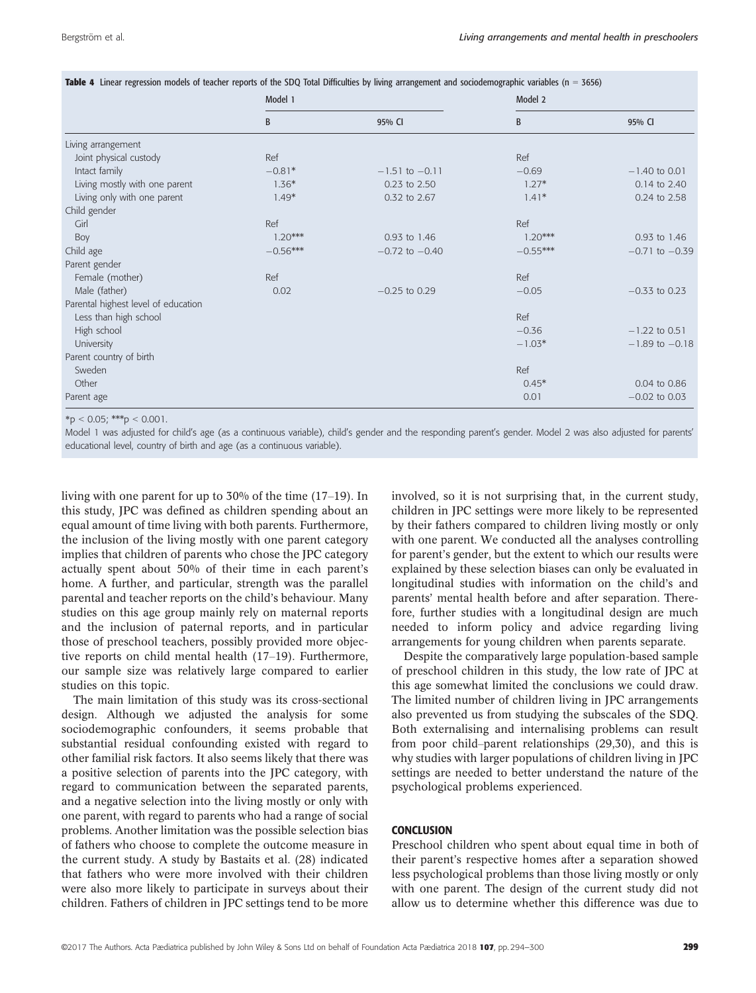|                                     | Model 1    |                    | Model 2    |                    |  |
|-------------------------------------|------------|--------------------|------------|--------------------|--|
|                                     | B          | 95% CI             | B          | 95% CI             |  |
| Living arrangement                  |            |                    |            |                    |  |
| Joint physical custody              | Ref        |                    | Ref        |                    |  |
| Intact family                       | $-0.81*$   | $-1.51$ to $-0.11$ | $-0.69$    | $-1.40$ to 0.01    |  |
| Living mostly with one parent       | $1.36*$    | 0.23 to 2.50       | $1.27*$    | 0.14 to 2.40       |  |
| Living only with one parent         | $1.49*$    | 0.32 to 2.67       | $1.41*$    | 0.24 to 2.58       |  |
| Child gender                        |            |                    |            |                    |  |
| Girl                                | Ref        |                    | Ref        |                    |  |
| Boy                                 | $1.20***$  | 0.93 to 1.46       | $1.20***$  | 0.93 to 1.46       |  |
| Child age                           | $-0.56***$ | $-0.72$ to $-0.40$ | $-0.55***$ | $-0.71$ to $-0.39$ |  |
| Parent gender                       |            |                    |            |                    |  |
| Female (mother)                     | Ref        |                    | Ref        |                    |  |
| Male (father)                       | 0.02       | $-0.25$ to 0.29    | $-0.05$    | $-0.33$ to 0.23    |  |
| Parental highest level of education |            |                    |            |                    |  |
| Less than high school               |            |                    | Ref        |                    |  |
| High school                         |            |                    | $-0.36$    | $-1.22$ to 0.51    |  |
| University                          |            |                    | $-1.03*$   | $-1.89$ to $-0.18$ |  |
| Parent country of birth             |            |                    |            |                    |  |
| Sweden                              |            |                    | Ref        |                    |  |
| Other                               |            |                    | $0.45*$    | 0.04 to 0.86       |  |
| Parent age                          |            |                    | 0.01       | $-0.02$ to 0.03    |  |

Table 4 Linear regression models of teacher reports of the SDQ Total Difficulties by living arrangement and sociodemographic variables (n = 3656)

 $*_{\text{D}}$  < 0.05; \*\*\*p < 0.001.

Model 1 was adjusted for child's age (as a continuous variable), child's gender and the responding parent's gender. Model 2 was also adjusted for parents' educational level, country of birth and age (as a continuous variable).

living with one parent for up to 30% of the time (17–19). In this study, JPC was defined as children spending about an equal amount of time living with both parents. Furthermore, the inclusion of the living mostly with one parent category implies that children of parents who chose the JPC category actually spent about 50% of their time in each parent's home. A further, and particular, strength was the parallel parental and teacher reports on the child's behaviour. Many studies on this age group mainly rely on maternal reports and the inclusion of paternal reports, and in particular those of preschool teachers, possibly provided more objective reports on child mental health (17–19). Furthermore, our sample size was relatively large compared to earlier studies on this topic.

The main limitation of this study was its cross-sectional design. Although we adjusted the analysis for some sociodemographic confounders, it seems probable that substantial residual confounding existed with regard to other familial risk factors. It also seems likely that there was a positive selection of parents into the JPC category, with regard to communication between the separated parents, and a negative selection into the living mostly or only with one parent, with regard to parents who had a range of social problems. Another limitation was the possible selection bias of fathers who choose to complete the outcome measure in the current study. A study by Bastaits et al. (28) indicated that fathers who were more involved with their children were also more likely to participate in surveys about their children. Fathers of children in JPC settings tend to be more involved, so it is not surprising that, in the current study, children in JPC settings were more likely to be represented by their fathers compared to children living mostly or only with one parent. We conducted all the analyses controlling for parent's gender, but the extent to which our results were explained by these selection biases can only be evaluated in longitudinal studies with information on the child's and parents' mental health before and after separation. Therefore, further studies with a longitudinal design are much needed to inform policy and advice regarding living arrangements for young children when parents separate.

Despite the comparatively large population-based sample of preschool children in this study, the low rate of JPC at this age somewhat limited the conclusions we could draw. The limited number of children living in JPC arrangements also prevented us from studying the subscales of the SDQ. Both externalising and internalising problems can result from poor child–parent relationships (29,30), and this is why studies with larger populations of children living in JPC settings are needed to better understand the nature of the psychological problems experienced.

# **CONCLUSION**

Preschool children who spent about equal time in both of their parent's respective homes after a separation showed less psychological problems than those living mostly or only with one parent. The design of the current study did not allow us to determine whether this difference was due to